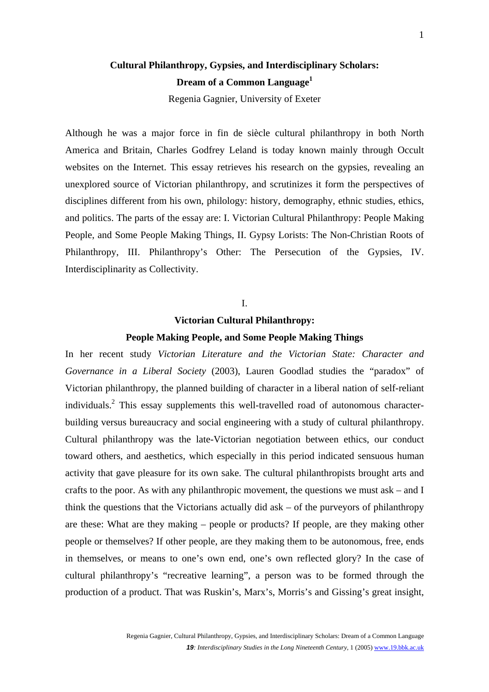# **Cultural Philanthropy, Gypsies, and Interdisciplinary Scholars: Dream of a Common Language[1](#page-23-0)**

Regenia Gagnier, University of Exeter

Although he was a major force in fin de siècle cultural philanthropy in both North America and Britain, Charles Godfrey Leland is today known mainly through Occult websites on the Internet. This essay retrieves his research on the gypsies, revealing an unexplored source of Victorian philanthropy, and scrutinizes it form the perspectives of disciplines different from his own, philology: history, demography, ethnic studies, ethics, and politics. The parts of the essay are: I. Victorian Cultural Philanthropy: People Making People, and Some People Making Things, II. Gypsy Lorists: The Non-Christian Roots of Philanthropy, III. Philanthropy's Other: The Persecution of the Gypsies, IV. Interdisciplinarity as Collectivity.

### I.

# **Victorian Cultural Philanthropy:**

### **People Making People, and Some People Making Things**

In her recent study *Victorian Literature and the Victorian State: Character and Governance in a Liberal Society* (2003), Lauren Goodlad studies the "paradox" of Victorian philanthropy, the planned building of character in a liberal nation of self-reliant individuals.<sup>[2](#page-23-1)</sup> This essay supplements this well-travelled road of autonomous characterbuilding versus bureaucracy and social engineering with a study of cultural philanthropy. Cultural philanthropy was the late-Victorian negotiation between ethics, our conduct toward others, and aesthetics, which especially in this period indicated sensuous human activity that gave pleasure for its own sake. The cultural philanthropists brought arts and crafts to the poor. As with any philanthropic movement, the questions we must ask – and I think the questions that the Victorians actually did ask – of the purveyors of philanthropy are these: What are they making – people or products? If people, are they making other people or themselves? If other people, are they making them to be autonomous, free, ends in themselves, or means to one's own end, one's own reflected glory? In the case of cultural philanthropy's "recreative learning", a person was to be formed through the production of a product. That was Ruskin's, Marx's, Morris's and Gissing's great insight,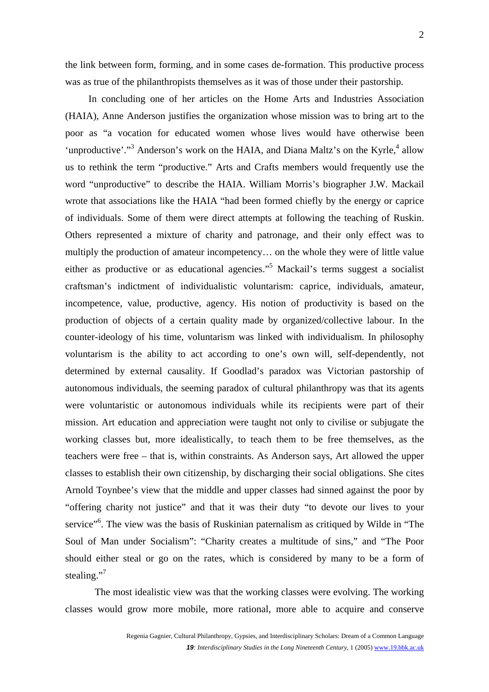the link between form, forming, and in some cases de-formation. This productive process was as true of the philanthropists themselves as it was of those under their pastorship.

In concluding one of her articles on the Home Arts and Industries Association (HAIA), Anne Anderson justifies the organization whose mission was to bring art to the poor as "a vocation for educated women whose lives would have otherwise been 'unproductive'."<sup>3</sup>Anderson's work on the HAIA, and Diana Maltz's on the Kyrle,<sup>[4](#page-23-2)</sup> allow us to rethink the term "productive." Arts and Crafts members would frequently use the word "unproductive" to describe the HAIA. William Morris's biographer J.W. Mackail wrote that associations like the HAIA "had been formed chiefly by the energy or caprice of individuals. Some of them were direct attempts at following the teaching of Ruskin. Others represented a mixture of charity and patronage, and their only effect was to multiply the production of amateur incompetency… on the whole they were of little value either as productive or as educational agencies."<sup>[5](#page-23-3)</sup> Mackail's terms suggest a socialist craftsman's indictment of individualistic voluntarism: caprice, individuals, amateur, incompetence, value, productive, agency. His notion of productivity is based on the production of objects of a certain quality made by organized/collective labour. In the counter-ideology of his time, voluntarism was linked with individualism. In philosophy voluntarism is the ability to act according to one's own will, self-dependently, not determined by external causality. If Goodlad's paradox was Victorian pastorship of autonomous individuals, the seeming paradox of cultural philanthropy was that its agents were voluntaristic or autonomous individuals while its recipients were part of their mission. Art education and appreciation were taught not only to civilise or subjugate the working classes but, more idealistically, to teach them to be free themselves, as the teachers were free – that is, within constraints. As Anderson says, Art allowed the upper classes to establish their own citizenship, by discharging their social obligations. She cites Arnold Toynbee's view that the middle and upper classes had sinned against the poor by "offering charity not justice" and that it was their duty "to devote our lives to your service"<sup>[6](#page-23-4)</sup>. The view was the basis of Ruskinian paternalism as critiqued by Wilde in "The Soul of Man under Socialism": "Charity creates a multitude of sins," and "The Poor should either steal or go on the rates, which is considered by many to be a form of stealing."<sup>[7](#page-23-5)</sup>

The most idealistic view was that the working classes were evolving. The working classes would grow more mobile, more rational, more able to acquire and conserve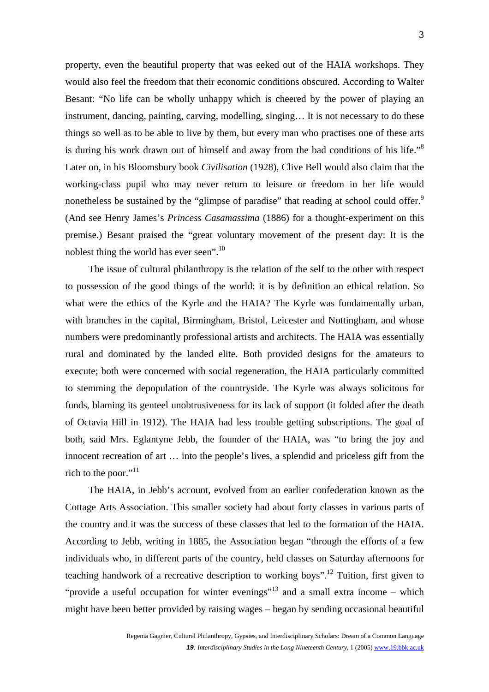property, even the beautiful property that was eeked out of the HAIA workshops. They would also feel the freedom that their economic conditions obscured. According to Walter Besant: "No life can be wholly unhappy which is cheered by the power of playing an instrument, dancing, painting, carving, modelling, singing… It is not necessary to do these things so well as to be able to live by them, but every man who practises one of these arts is during his work drawn out of himself and away from the bad conditions of his life."<sup>[8](#page-23-2)</sup> Later on, in his Bloomsbury book *Civilisation* (1928), Clive Bell would also claim that the working-class pupil who may never return to leisure or freedom in her life would nonetheless be sustained by the "glimpse of paradise" that reading at school could offer.<sup>[9](#page-23-6)</sup> (And see Henry James's *Princess Casamassima* (1886) for a thought-experiment on this premise.) Besant praised the "great voluntary movement of the present day: It is the noblest thing the world has ever seen".<sup>[10](#page-23-7)</sup>

The issue of cultural philanthropy is the relation of the self to the other with respect to possession of the good things of the world: it is by definition an ethical relation. So what were the ethics of the Kyrle and the HAIA? The Kyrle was fundamentally urban, with branches in the capital, Birmingham, Bristol, Leicester and Nottingham, and whose numbers were predominantly professional artists and architects. The HAIA was essentially rural and dominated by the landed elite. Both provided designs for the amateurs to execute; both were concerned with social regeneration, the HAIA particularly committed to stemming the depopulation of the countryside. The Kyrle was always solicitous for funds, blaming its genteel unobtrusiveness for its lack of support (it folded after the death of Octavia Hill in 1912). The HAIA had less trouble getting subscriptions. The goal of both, said Mrs. Eglantyne Jebb, the founder of the HAIA, was "to bring the joy and innocent recreation of art … into the people's lives, a splendid and priceless gift from the rich to the poor."<sup>[11](#page-23-8)</sup>

The HAIA, in Jebb's account, evolved from an earlier confederation known as the Cottage Arts Association. This smaller society had about forty classes in various parts of the country and it was the success of these classes that led to the formation of the HAIA. According to Jebb, writing in 1885, the Association began "through the efforts of a few individuals who, in different parts of the country, held classes on Saturday afternoons for teaching handwork of a recreative description to working boys".<sup>12</sup> Tuition, first given to "provide a useful occupation for winter evenings"<sup>13</sup> and a small extra income – which might have been better provided by raising wages – began by sending occasional beautiful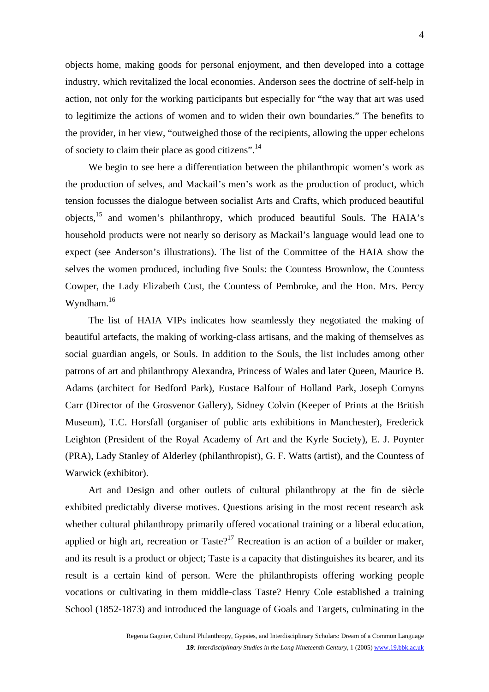objects home, making goods for personal enjoyment, and then developed into a cottage industry, which revitalized the local economies. Anderson sees the doctrine of self-help in action, not only for the working participants but especially for "the way that art was used to legitimize the actions of women and to widen their own boundaries." The benefits to the provider, in her view, "outweighed those of the recipients, allowing the upper echelons of society to claim their place as good citizens".[14](#page-23-2) 

We begin to see here a differentiation between the philanthropic women's work as the production of selves, and Mackail's men's work as the production of product, which tension focusses the dialogue between socialist Arts and Crafts, which produced beautiful objects[,15](#page-23-10) and women's philanthropy, which produced beautiful Souls. The HAIA's household products were not nearly so derisory as Mackail's language would lead one to expect (see Anderson's illustrations). The list of the Committee of the HAIA show the selves the women produced, including five Souls: the Countess Brownlow, the Countess Cowper, the Lady Elizabeth Cust, the Countess of Pembroke, and the Hon. Mrs. Percy Wyndham.<sup>[16](#page-23-11)</sup>

The list of HAIA VIPs indicates how seamlessly they negotiated the making of beautiful artefacts, the making of working-class artisans, and the making of themselves as social guardian angels, or Souls. In addition to the Souls, the list includes among other patrons of art and philanthropy Alexandra, Princess of Wales and later Queen, Maurice B. Adams (architect for Bedford Park), Eustace Balfour of Holland Park, Joseph Comyns Carr (Director of the Grosvenor Gallery), Sidney Colvin (Keeper of Prints at the British Museum), T.C. Horsfall (organiser of public arts exhibitions in Manchester), Frederick Leighton (President of the Royal Academy of Art and the Kyrle Society), E. J. Poynter (PRA), Lady Stanley of Alderley (philanthropist), G. F. Watts (artist), and the Countess of Warwick (exhibitor).

Art and Design and other outlets of cultural philanthropy at the fin de siècle exhibited predictably diverse motives. Questions arising in the most recent research ask whether cultural philanthropy primarily offered vocational training or a liberal education, applied or high art, recreation or Taste?<sup>17</sup> Recreation is an action of a builder or maker, and its result is a product or object; Taste is a capacity that distinguishes its bearer, and its result is a certain kind of person. Were the philanthropists offering working people vocations or cultivating in them middle-class Taste? Henry Cole established a training School (1852-1873) and introduced the language of Goals and Targets, culminating in the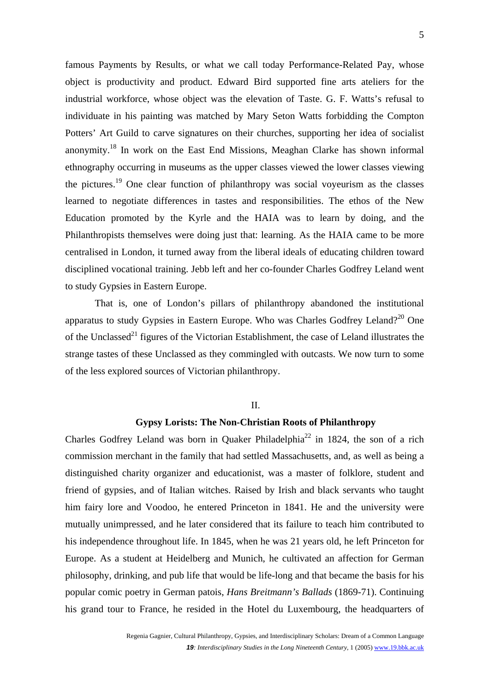famous Payments by Results, or what we call today Performance-Related Pay, whose object is productivity and product. Edward Bird supported fine arts ateliers for the industrial workforce, whose object was the elevation of Taste. G. F. Watts's refusal to individuate in his painting was matched by Mary Seton Watts forbidding the Compton Potters' Art Guild to carve signatures on their churches, supporting her idea of socialist anonymity.[18](#page-23-2) In work on the East End Missions, Meaghan Clarke has shown informal ethnography occurring in museums as the upper classes viewed the lower classes viewing the pictures.<sup>19</sup> One clear function of philanthropy was social voyeurism as the classes learned to negotiate differences in tastes and responsibilities. The ethos of the New Education promoted by the Kyrle and the HAIA was to learn by doing, and the Philanthropists themselves were doing just that: learning. As the HAIA came to be more centralised in London, it turned away from the liberal ideals of educating children toward disciplined vocational training. Jebb left and her co-founder Charles Godfrey Leland went to study Gypsies in Eastern Europe.

That is, one of London's pillars of philanthropy abandoned the institutional apparatus to study Gypsies in Eastern Europe. Who was Charles Godfrey Leland?<sup>20</sup> One of the Unclassed<sup>21</sup> figures of the Victorian Establishment, the case of Leland illustrates the strange tastes of these Unclassed as they commingled with outcasts. We now turn to some of the less explored sources of Victorian philanthropy.

#### II.

## **Gypsy Lorists: The Non-Christian Roots of Philanthropy**

Charles Godfrey Leland was born in Quaker Philadelphia<sup>22</sup> in 1824, the son of a rich commission merchant in the family that had settled Massachusetts, and, as well as being a distinguished charity organizer and educationist, was a master of folklore, student and friend of gypsies, and of Italian witches. Raised by Irish and black servants who taught him fairy lore and Voodoo, he entered Princeton in 1841. He and the university were mutually unimpressed, and he later considered that its failure to teach him contributed to his independence throughout life. In 1845, when he was 21 years old, he left Princeton for Europe. As a student at Heidelberg and Munich, he cultivated an affection for German philosophy, drinking, and pub life that would be life-long and that became the basis for his popular comic poetry in German patois, *Hans Breitmann's Ballads* (1869-71). Continuing his grand tour to France, he resided in the Hotel du Luxembourg, the headquarters of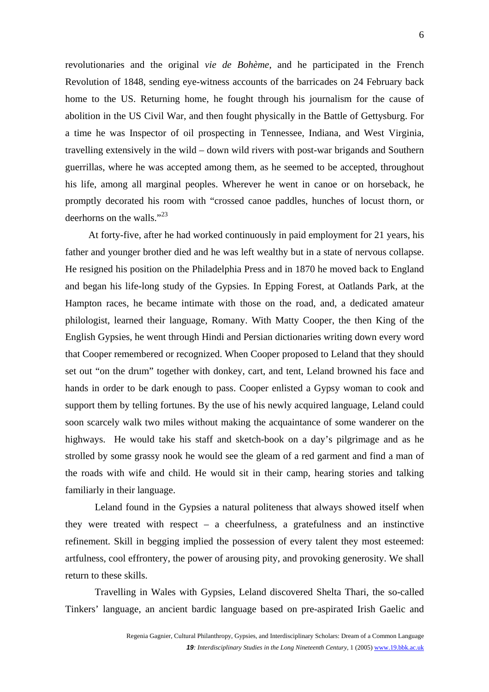revolutionaries and the original *vie de Bohème*, and he participated in the French Revolution of 1848, sending eye-witness accounts of the barricades on 24 February back home to the US. Returning home, he fought through his journalism for the cause of abolition in the US Civil War, and then fought physically in the Battle of Gettysburg. For a time he was Inspector of oil prospecting in Tennessee, Indiana, and West Virginia, travelling extensively in the wild – down wild rivers with post-war brigands and Southern guerrillas, where he was accepted among them, as he seemed to be accepted, throughout his life, among all marginal peoples. Wherever he went in canoe or on horseback, he promptly decorated his room with "crossed canoe paddles, hunches of locust thorn, or deerhorns on the walls."<sup>[23](#page-23-10)</sup>

At forty-five, after he had worked continuously in paid employment for 21 years, his father and younger brother died and he was left wealthy but in a state of nervous collapse. He resigned his position on the Philadelphia Press and in 1870 he moved back to England and began his life-long study of the Gypsies. In Epping Forest, at Oatlands Park, at the Hampton races, he became intimate with those on the road, and, a dedicated amateur philologist, learned their language, Romany. With Matty Cooper, the then King of the English Gypsies, he went through Hindi and Persian dictionaries writing down every word that Cooper remembered or recognized. When Cooper proposed to Leland that they should set out "on the drum" together with donkey, cart, and tent, Leland browned his face and hands in order to be dark enough to pass. Cooper enlisted a Gypsy woman to cook and support them by telling fortunes. By the use of his newly acquired language, Leland could soon scarcely walk two miles without making the acquaintance of some wanderer on the highways. He would take his staff and sketch-book on a day's pilgrimage and as he strolled by some grassy nook he would see the gleam of a red garment and find a man of the roads with wife and child. He would sit in their camp, hearing stories and talking familiarly in their language.

Leland found in the Gypsies a natural politeness that always showed itself when they were treated with respect – a cheerfulness, a gratefulness and an instinctive refinement. Skill in begging implied the possession of every talent they most esteemed: artfulness, cool effrontery, the power of arousing pity, and provoking generosity. We shall return to these skills.

Travelling in Wales with Gypsies, Leland discovered Shelta Thari, the so-called Tinkers' language, an ancient bardic language based on pre-aspirated Irish Gaelic and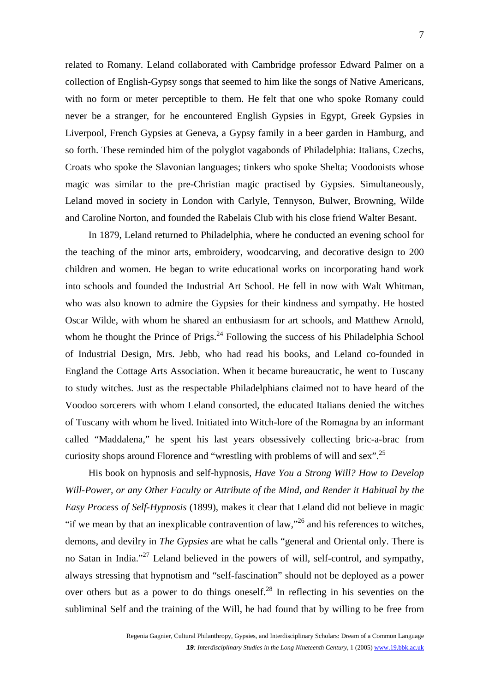related to Romany. Leland collaborated with Cambridge professor Edward Palmer on a collection of English-Gypsy songs that seemed to him like the songs of Native Americans, with no form or meter perceptible to them. He felt that one who spoke Romany could never be a stranger, for he encountered English Gypsies in Egypt, Greek Gypsies in Liverpool, French Gypsies at Geneva, a Gypsy family in a beer garden in Hamburg, and so forth. These reminded him of the polyglot vagabonds of Philadelphia: Italians, Czechs, Croats who spoke the Slavonian languages; tinkers who spoke Shelta; Voodooists whose magic was similar to the pre-Christian magic practised by Gypsies. Simultaneously, Leland moved in society in London with Carlyle, Tennyson, Bulwer, Browning, Wilde and Caroline Norton, and founded the Rabelais Club with his close friend Walter Besant.

In 1879, Leland returned to Philadelphia, where he conducted an evening school for the teaching of the minor arts, embroidery, woodcarving, and decorative design to 200 children and women. He began to write educational works on incorporating hand work into schools and founded the Industrial Art School. He fell in now with Walt Whitman, who was also known to admire the Gypsies for their kindness and sympathy. He hosted Oscar Wilde, with whom he shared an enthusiasm for art schools, and Matthew Arnold, whom he thought the Prince of Prigs. $^{24}$  Following the success of his Philadelphia School of Industrial Design, Mrs. Jebb, who had read his books, and Leland co-founded in England the Cottage Arts Association. When it became bureaucratic, he went to Tuscany to study witches. Just as the respectable Philadelphians claimed not to have heard of the Voodoo sorcerers with whom Leland consorted, the educated Italians denied the witches of Tuscany with whom he lived. Initiated into Witch-lore of the Romagna by an informant called "Maddalena," he spent his last years obsessively collecting bric-a-brac from curiosity shops around Florence and "wrestling with problems of will and sex".<sup>25</sup>

His book on hypnosis and self-hypnosis, *Have You a Strong Will? How to Develop Will-Power, or any Other Faculty or Attribute of the Mind, and Render it Habitual by the Easy Process of Self-Hypnosis* (1899), makes it clear that Leland did not believe in magic "if we mean by that an inexplicable contravention of law,"<sup>26</sup> and his references to witches, demons, and devilry in *The Gypsies* are what he calls "general and Oriental only. There is no Satan in India."[27](#page-23-18) Leland believed in the powers of will, self-control, and sympathy, always stressing that hypnotism and "self-fascination" should not be deployed as a power over others but as a power to do things oneself.<sup>28</sup> In reflecting in his seventies on the subliminal Self and the training of the Will, he had found that by willing to be free from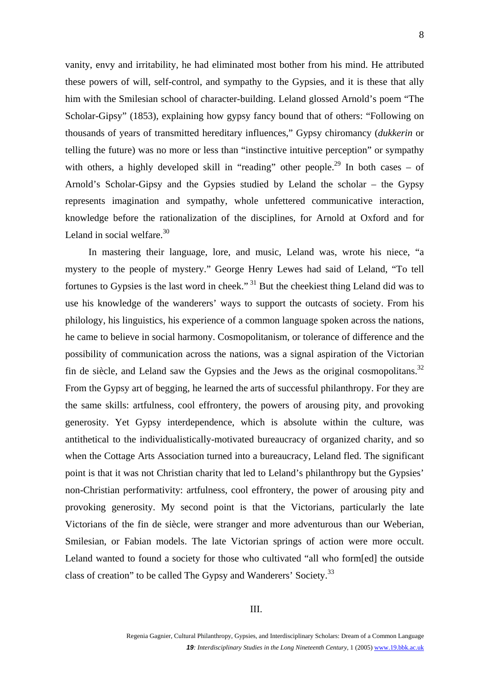vanity, envy and irritability, he had eliminated most bother from his mind. He attributed these powers of will, self-control, and sympathy to the Gypsies, and it is these that ally him with the Smilesian school of character-building. Leland glossed Arnold's poem "The Scholar-Gipsy" (1853), explaining how gypsy fancy bound that of others: "Following on thousands of years of transmitted hereditary influences," Gypsy chiromancy (*dukkerin* or telling the future) was no more or less than "instinctive intuitive perception" or sympathy with others, a highly developed skill in "reading" other people.<sup>29</sup> In both cases – of Arnold's Scholar-Gipsy and the Gypsies studied by Leland the scholar – the Gypsy represents imagination and sympathy, whole unfettered communicative interaction, knowledge before the rationalization of the disciplines, for Arnold at Oxford and for Leland in social welfare. $30$ 

In mastering their language, lore, and music, Leland was, wrote his niece, "a mystery to the people of mystery." George Henry Lewes had said of Leland, "To tell fortunes to Gypsies is the last word in cheek." [31 B](#page-23-21)ut the cheekiest thing Leland did was to use his knowledge of the wanderers' ways to support the outcasts of society. From his philology, his linguistics, his experience of a common language spoken across the nations, he came to believe in social harmony. Cosmopolitanism, or tolerance of difference and the possibility of communication across the nations, was a signal aspiration of the Victorian fin de siècle, and Leland saw the Gypsies and the Jews as the original cosmopolitans.<sup>32</sup> From the Gypsy art of begging, he learned the arts of successful philanthropy. For they are the same skills: artfulness, cool effrontery, the powers of arousing pity, and provoking generosity. Yet Gypsy interdependence, which is absolute within the culture, was antithetical to the individualistically-motivated bureaucracy of organized charity, and so when the Cottage Arts Association turned into a bureaucracy, Leland fled. The significant point is that it was not Christian charity that led to Leland's philanthropy but the Gypsies' non-Christian performativity: artfulness, cool effrontery, the power of arousing pity and provoking generosity. My second point is that the Victorians, particularly the late Victorians of the fin de siècle, were stranger and more adventurous than our Weberian, Smilesian, or Fabian models. The late Victorian springs of action were more occult. Leland wanted to found a society for those who cultivated "all who form[ed] the outside class of creation" to be called The Gypsy and Wanderers' Society.<sup>[33](#page-23-5)</sup>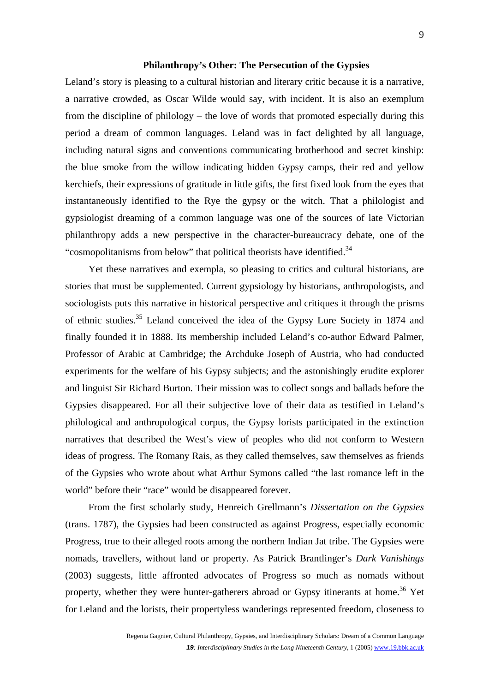#### **Philanthropy's Other: The Persecution of the Gypsies**

Leland's story is pleasing to a cultural historian and literary critic because it is a narrative, a narrative crowded, as Oscar Wilde would say, with incident. It is also an exemplum from the discipline of philology – the love of words that promoted especially during this period a dream of common languages. Leland was in fact delighted by all language, including natural signs and conventions communicating brotherhood and secret kinship: the blue smoke from the willow indicating hidden Gypsy camps, their red and yellow kerchiefs, their expressions of gratitude in little gifts, the first fixed look from the eyes that instantaneously identified to the Rye the gypsy or the witch. That a philologist and gypsiologist dreaming of a common language was one of the sources of late Victorian philanthropy adds a new perspective in the character-bureaucracy debate, one of the "cosmopolitanisms from below" that political theorists have identified. $34$ 

Yet these narratives and exempla, so pleasing to critics and cultural historians, are stories that must be supplemented. Current gypsiology by historians, anthropologists, and sociologists puts this narrative in historical perspective and critiques it through the prisms of ethnic studies[.35](#page-23-14) Leland conceived the idea of the Gypsy Lore Society in 1874 and finally founded it in 1888. Its membership included Leland's co-author Edward Palmer, Professor of Arabic at Cambridge; the Archduke Joseph of Austria, who had conducted experiments for the welfare of his Gypsy subjects; and the astonishingly erudite explorer and linguist Sir Richard Burton. Their mission was to collect songs and ballads before the Gypsies disappeared. For all their subjective love of their data as testified in Leland's philological and anthropological corpus, the Gypsy lorists participated in the extinction narratives that described the West's view of peoples who did not conform to Western ideas of progress. The Romany Rais, as they called themselves, saw themselves as friends of the Gypsies who wrote about what Arthur Symons called "the last romance left in the world" before their "race" would be disappeared forever.

From the first scholarly study, Henreich Grellmann's *Dissertation on the Gypsies* (trans. 1787), the Gypsies had been constructed as against Progress, especially economic Progress, true to their alleged roots among the northern Indian Jat tribe. The Gypsies were nomads, travellers, without land or property. As Patrick Brantlinger's *Dark Vanishings* (2003) suggests, little affronted advocates of Progress so much as nomads without property, whether they were hunter-gatherers abroad or Gypsy itinerants at home.<sup>36</sup> Yet for Leland and the lorists, their propertyless wanderings represented freedom, closeness to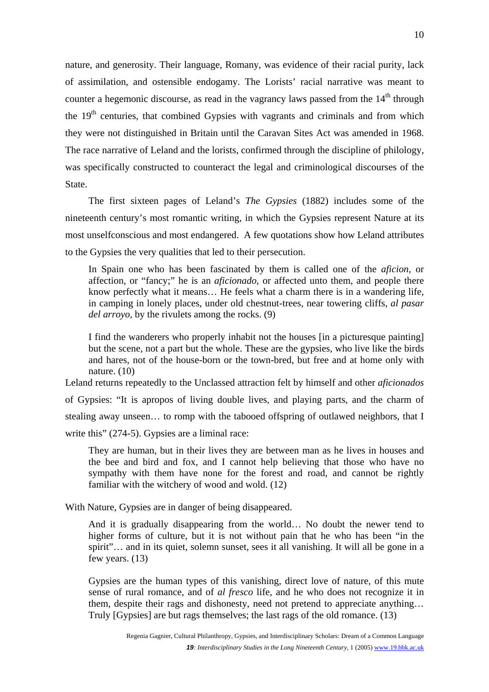nature, and generosity. Their language, Romany, was evidence of their racial purity, lack of assimilation, and ostensible endogamy. The Lorists' racial narrative was meant to counter a hegemonic discourse, as read in the vagrancy laws passed from the  $14<sup>th</sup>$  through the 19<sup>th</sup> centuries, that combined Gypsies with vagrants and criminals and from which they were not distinguished in Britain until the Caravan Sites Act was amended in 1968. The race narrative of Leland and the lorists, confirmed through the discipline of philology, was specifically constructed to counteract the legal and criminological discourses of the State.

The first sixteen pages of Leland's *The Gypsies* (1882) includes some of the nineteenth century's most romantic writing, in which the Gypsies represent Nature at its most unselfconscious and most endangered. A few quotations show how Leland attributes to the Gypsies the very qualities that led to their persecution.

In Spain one who has been fascinated by them is called one of the *aficion*, or affection, or "fancy;" he is an *aficionado*, or affected unto them, and people there know perfectly what it means… He feels what a charm there is in a wandering life, in camping in lonely places, under old chestnut-trees, near towering cliffs, *al pasar del arroyo*, by the rivulets among the rocks. (9)

I find the wanderers who properly inhabit not the houses [in a picturesque painting] but the scene, not a part but the whole. These are the gypsies, who live like the birds and hares, not of the house-born or the town-bred, but free and at home only with nature. (10)

Leland returns repeatedly to the Unclassed attraction felt by himself and other *aficionados* 

of Gypsies: "It is apropos of living double lives, and playing parts, and the charm of

stealing away unseen… to romp with the tabooed offspring of outlawed neighbors, that I

write this" (274-5). Gypsies are a liminal race:

They are human, but in their lives they are between man as he lives in houses and the bee and bird and fox, and I cannot help believing that those who have no sympathy with them have none for the forest and road, and cannot be rightly familiar with the witchery of wood and wold. (12)

With Nature, Gypsies are in danger of being disappeared.

And it is gradually disappearing from the world… No doubt the newer tend to higher forms of culture, but it is not without pain that he who has been "in the spirit"… and in its quiet, solemn sunset, sees it all vanishing. It will all be gone in a few years. (13)

Gypsies are the human types of this vanishing, direct love of nature, of this mute sense of rural romance, and of *al fresco* life, and he who does not recognize it in them, despite their rags and dishonesty, need not pretend to appreciate anything… Truly [Gypsies] are but rags themselves; the last rags of the old romance. (13)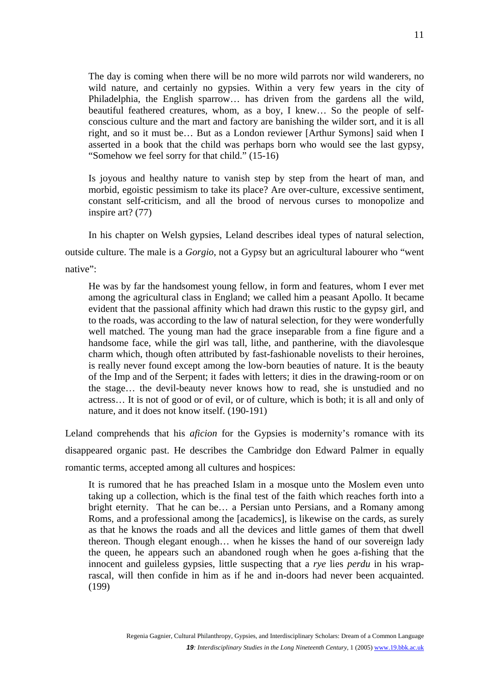The day is coming when there will be no more wild parrots nor wild wanderers, no wild nature, and certainly no gypsies. Within a very few years in the city of Philadelphia, the English sparrow… has driven from the gardens all the wild, beautiful feathered creatures, whom, as a boy, I knew… So the people of selfconscious culture and the mart and factory are banishing the wilder sort, and it is all right, and so it must be… But as a London reviewer [Arthur Symons] said when I asserted in a book that the child was perhaps born who would see the last gypsy, "Somehow we feel sorry for that child." (15-16)

Is joyous and healthy nature to vanish step by step from the heart of man, and morbid, egoistic pessimism to take its place? Are over-culture, excessive sentiment, constant self-criticism, and all the brood of nervous curses to monopolize and inspire art? (77)

In his chapter on Welsh gypsies, Leland describes ideal types of natural selection, outside culture. The male is a *Gorgio*, not a Gypsy but an agricultural labourer who "went native":

He was by far the handsomest young fellow, in form and features, whom I ever met among the agricultural class in England; we called him a peasant Apollo. It became evident that the passional affinity which had drawn this rustic to the gypsy girl, and to the roads, was according to the law of natural selection, for they were wonderfully well matched. The young man had the grace inseparable from a fine figure and a handsome face, while the girl was tall, lithe, and pantherine, with the diavolesque charm which, though often attributed by fast-fashionable novelists to their heroines, is really never found except among the low-born beauties of nature. It is the beauty of the Imp and of the Serpent; it fades with letters; it dies in the drawing-room or on the stage… the devil-beauty never knows how to read, she is unstudied and no actress… It is not of good or of evil, or of culture, which is both; it is all and only of nature, and it does not know itself. (190-191)

Leland comprehends that his *aficion* for the Gypsies is modernity's romance with its disappeared organic past. He describes the Cambridge don Edward Palmer in equally romantic terms, accepted among all cultures and hospices:

It is rumored that he has preached Islam in a mosque unto the Moslem even unto taking up a collection, which is the final test of the faith which reaches forth into a bright eternity. That he can be… a Persian unto Persians, and a Romany among Roms, and a professional among the [academics], is likewise on the cards, as surely as that he knows the roads and all the devices and little games of them that dwell thereon. Though elegant enough… when he kisses the hand of our sovereign lady the queen, he appears such an abandoned rough when he goes a-fishing that the innocent and guileless gypsies, little suspecting that a *rye* lies *perdu* in his wraprascal, will then confide in him as if he and in-doors had never been acquainted. (199)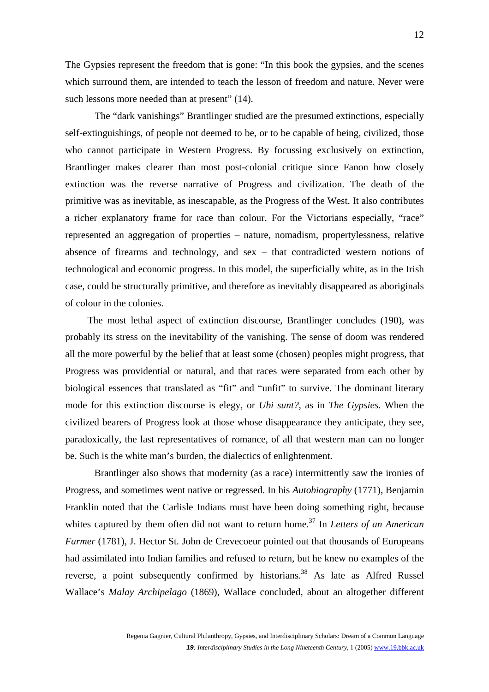The Gypsies represent the freedom that is gone: "In this book the gypsies, and the scenes which surround them, are intended to teach the lesson of freedom and nature. Never were such lessons more needed than at present" (14).

The "dark vanishings" Brantlinger studied are the presumed extinctions, especially self-extinguishings, of people not deemed to be, or to be capable of being, civilized, those who cannot participate in Western Progress. By focussing exclusively on extinction, Brantlinger makes clearer than most post-colonial critique since Fanon how closely extinction was the reverse narrative of Progress and civilization. The death of the primitive was as inevitable, as inescapable, as the Progress of the West. It also contributes a richer explanatory frame for race than colour. For the Victorians especially, "race" represented an aggregation of properties – nature, nomadism, propertylessness, relative absence of firearms and technology, and sex – that contradicted western notions of technological and economic progress. In this model, the superficially white, as in the Irish case, could be structurally primitive, and therefore as inevitably disappeared as aboriginals of colour in the colonies.

The most lethal aspect of extinction discourse, Brantlinger concludes (190), was probably its stress on the inevitability of the vanishing. The sense of doom was rendered all the more powerful by the belief that at least some (chosen) peoples might progress, that Progress was providential or natural, and that races were separated from each other by biological essences that translated as "fit" and "unfit" to survive. The dominant literary mode for this extinction discourse is elegy, or *Ubi sunt?*, as in *The Gypsies*. When the civilized bearers of Progress look at those whose disappearance they anticipate, they see, paradoxically, the last representatives of romance, of all that western man can no longer be. Such is the white man's burden, the dialectics of enlightenment.

Brantlinger also shows that modernity (as a race) intermittently saw the ironies of Progress, and sometimes went native or regressed. In his *Autobiography* (1771), Benjamin Franklin noted that the Carlisle Indians must have been doing something right, because whites captured by them often did not want to return home.<sup>37</sup> In *Letters of an American Farmer* (1781), J. Hector St. John de Crevecoeur pointed out that thousands of Europeans had assimilated into Indian families and refused to return, but he knew no examples of the reverse, a point subsequently confirmed by historians.<sup>38</sup> As late as Alfred Russel Wallace's *Malay Archipelago* (1869), Wallace concluded, about an altogether different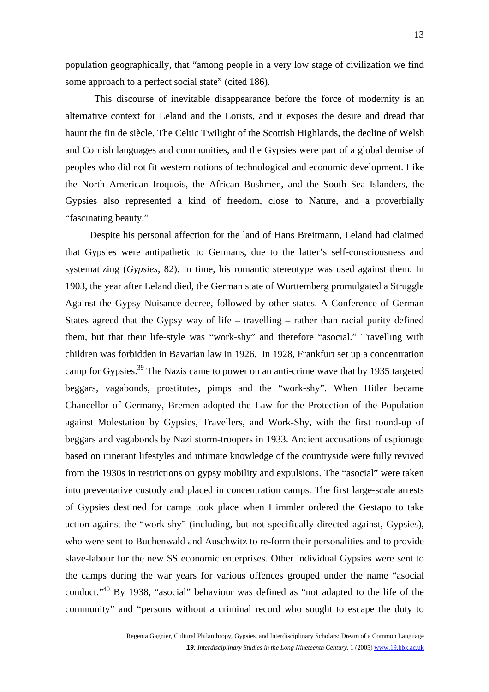population geographically, that "among people in a very low stage of civilization we find some approach to a perfect social state" (cited 186).

This discourse of inevitable disappearance before the force of modernity is an alternative context for Leland and the Lorists, and it exposes the desire and dread that haunt the fin de siècle. The Celtic Twilight of the Scottish Highlands, the decline of Welsh and Cornish languages and communities, and the Gypsies were part of a global demise of peoples who did not fit western notions of technological and economic development. Like the North American Iroquois, the African Bushmen, and the South Sea Islanders, the Gypsies also represented a kind of freedom, close to Nature, and a proverbially "fascinating beauty."

Despite his personal affection for the land of Hans Breitmann, Leland had claimed that Gypsies were antipathetic to Germans, due to the latter's self-consciousness and systematizing (*Gypsies*, 82). In time, his romantic stereotype was used against them. In 1903, the year after Leland died, the German state of Wurttemberg promulgated a Struggle Against the Gypsy Nuisance decree, followed by other states. A Conference of German States agreed that the Gypsy way of life – travelling – rather than racial purity defined them, but that their life-style was "work-shy" and therefore "asocial." Travelling with children was forbidden in Bavarian law in 1926. In 1928, Frankfurt set up a concentration camp for Gypsies.<sup>39</sup> The Nazis came to power on an anti-crime wave that by 1935 targeted beggars, vagabonds, prostitutes, pimps and the "work-shy". When Hitler became Chancellor of Germany, Bremen adopted the Law for the Protection of the Population against Molestation by Gypsies, Travellers, and Work-Shy, with the first round-up of beggars and vagabonds by Nazi storm-troopers in 1933. Ancient accusations of espionage based on itinerant lifestyles and intimate knowledge of the countryside were fully revived from the 1930s in restrictions on gypsy mobility and expulsions. The "asocial" were taken into preventative custody and placed in concentration camps. The first large-scale arrests of Gypsies destined for camps took place when Himmler ordered the Gestapo to take action against the "work-shy" (including, but not specifically directed against, Gypsies), who were sent to Buchenwald and Auschwitz to re-form their personalities and to provide slave-labour for the new SS economic enterprises. Other individual Gypsies were sent to the camps during the war years for various offences grouped under the name "asocial conduct."[40](#page-23-9) By 1938, "asocial" behaviour was defined as "not adapted to the life of the community" and "persons without a criminal record who sought to escape the duty to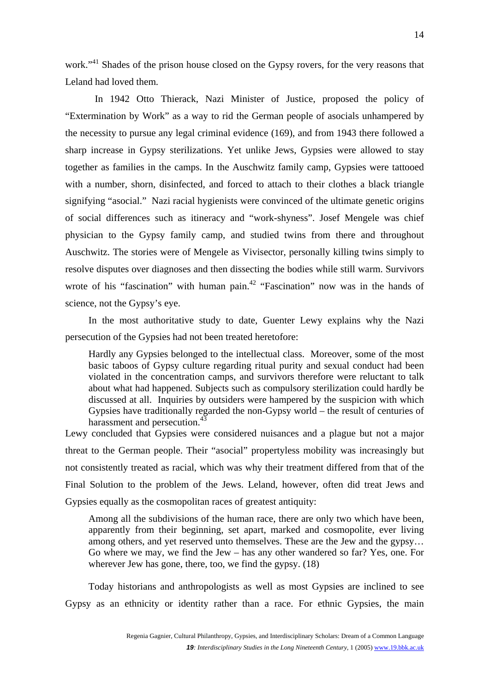work."<sup>41</sup> Shades of the prison house closed on the Gypsy rovers, for the very reasons that Leland had loved them.

In 1942 Otto Thierack, Nazi Minister of Justice, proposed the policy of "Extermination by Work" as a way to rid the German people of asocials unhampered by the necessity to pursue any legal criminal evidence (169), and from 1943 there followed a sharp increase in Gypsy sterilizations. Yet unlike Jews, Gypsies were allowed to stay together as families in the camps. In the Auschwitz family camp, Gypsies were tattooed with a number, shorn, disinfected, and forced to attach to their clothes a black triangle signifying "asocial." Nazi racial hygienists were convinced of the ultimate genetic origins of social differences such as itineracy and "work-shyness". Josef Mengele was chief physician to the Gypsy family camp, and studied twins from there and throughout Auschwitz. The stories were of Mengele as Vivisector, personally killing twins simply to resolve disputes over diagnoses and then dissecting the bodies while still warm. Survivors wrote of his "fascination" with human pain.<sup>42</sup> "Fascination" now was in the hands of science, not the Gypsy's eye.

In the most authoritative study to date, Guenter Lewy explains why the Nazi persecution of the Gypsies had not been treated heretofore:

Hardly any Gypsies belonged to the intellectual class. Moreover, some of the most basic taboos of Gypsy culture regarding ritual purity and sexual conduct had been violated in the concentration camps, and survivors therefore were reluctant to talk about what had happened. Subjects such as compulsory sterilization could hardly be discussed at all. Inquiries by outsiders were hampered by the suspicion with which Gypsies have traditionally regarded the non-Gypsy world – the result of centuries of harassment and persecution.<sup>[43](#page-23-24)</sup>

Lewy concluded that Gypsies were considered nuisances and a plague but not a major threat to the German people. Their "asocial" propertyless mobility was increasingly but not consistently treated as racial, which was why their treatment differed from that of the Final Solution to the problem of the Jews. Leland, however, often did treat Jews and Gypsies equally as the cosmopolitan races of greatest antiquity:

Among all the subdivisions of the human race, there are only two which have been, apparently from their beginning, set apart, marked and cosmopolite, ever living among others, and yet reserved unto themselves. These are the Jew and the gypsy… Go where we may, we find the Jew – has any other wandered so far? Yes, one. For wherever Jew has gone, there, too, we find the gypsy. (18)

Today historians and anthropologists as well as most Gypsies are inclined to see Gypsy as an ethnicity or identity rather than a race. For ethnic Gypsies, the main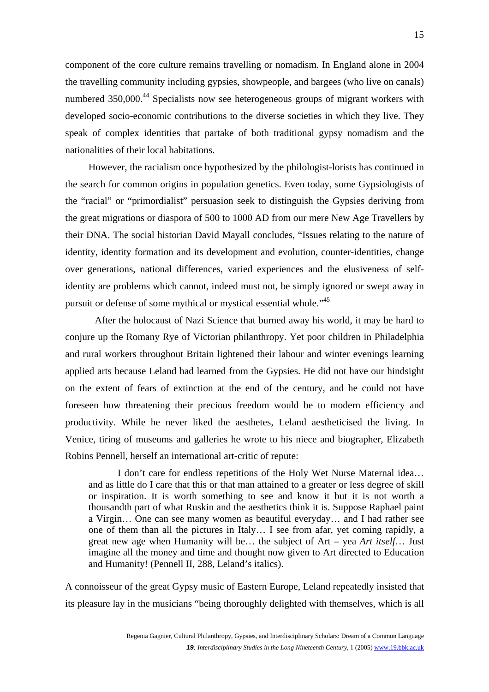component of the core culture remains travelling or nomadism. In England alone in 2004 the travelling community including gypsies, showpeople, and bargees (who live on canals) numbered 350,000.<sup>44</sup> Specialists now see heterogeneous groups of migrant workers with developed socio-economic contributions to the diverse societies in which they live. They speak of complex identities that partake of both traditional gypsy nomadism and the nationalities of their local habitations.

However, the racialism once hypothesized by the philologist-lorists has continued in the search for common origins in population genetics. Even today, some Gypsiologists of the "racial" or "primordialist" persuasion seek to distinguish the Gypsies deriving from the great migrations or diaspora of 500 to 1000 AD from our mere New Age Travellers by their DNA. The social historian David Mayall concludes, "Issues relating to the nature of identity, identity formation and its development and evolution, counter-identities, change over generations, national differences, varied experiences and the elusiveness of selfidentity are problems which cannot, indeed must not, be simply ignored or swept away in pursuit or defense of some mythical or mystical essential whole."<sup>45</sup>

After the holocaust of Nazi Science that burned away his world, it may be hard to conjure up the Romany Rye of Victorian philanthropy. Yet poor children in Philadelphia and rural workers throughout Britain lightened their labour and winter evenings learning applied arts because Leland had learned from the Gypsies. He did not have our hindsight on the extent of fears of extinction at the end of the century, and he could not have foreseen how threatening their precious freedom would be to modern efficiency and productivity. While he never liked the aesthetes, Leland aestheticised the living. In Venice, tiring of museums and galleries he wrote to his niece and biographer, Elizabeth Robins Pennell, herself an international art-critic of repute:

I don't care for endless repetitions of the Holy Wet Nurse Maternal idea… and as little do I care that this or that man attained to a greater or less degree of skill or inspiration. It is worth something to see and know it but it is not worth a thousandth part of what Ruskin and the aesthetics think it is. Suppose Raphael paint a Virgin… One can see many women as beautiful everyday… and I had rather see one of them than all the pictures in Italy… I see from afar, yet coming rapidly, a great new age when Humanity will be… the subject of Art – yea *Art itself*… Just imagine all the money and time and thought now given to Art directed to Education and Humanity! (Pennell II, 288, Leland's italics).

A connoisseur of the great Gypsy music of Eastern Europe, Leland repeatedly insisted that its pleasure lay in the musicians "being thoroughly delighted with themselves, which is all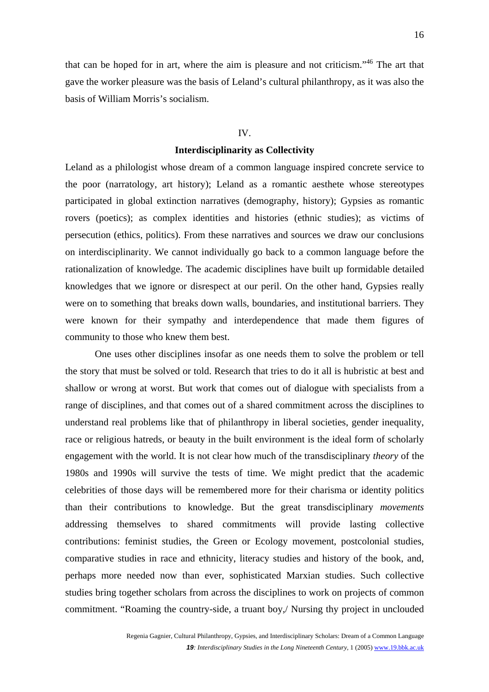that can be hoped for in art, where the aim is pleasure and not criticism."<sup>46</sup> The art that gave the worker pleasure was the basis of Leland's cultural philanthropy, as it was also the basis of William Morris's socialism.

#### IV.

#### **Interdisciplinarity as Collectivity**

Leland as a philologist whose dream of a common language inspired concrete service to the poor (narratology, art history); Leland as a romantic aesthete whose stereotypes participated in global extinction narratives (demography, history); Gypsies as romantic rovers (poetics); as complex identities and histories (ethnic studies); as victims of persecution (ethics, politics). From these narratives and sources we draw our conclusions on interdisciplinarity. We cannot individually go back to a common language before the rationalization of knowledge. The academic disciplines have built up formidable detailed knowledges that we ignore or disrespect at our peril. On the other hand, Gypsies really were on to something that breaks down walls, boundaries, and institutional barriers. They were known for their sympathy and interdependence that made them figures of community to those who knew them best.

One uses other disciplines insofar as one needs them to solve the problem or tell the story that must be solved or told. Research that tries to do it all is hubristic at best and shallow or wrong at worst. But work that comes out of dialogue with specialists from a range of disciplines, and that comes out of a shared commitment across the disciplines to understand real problems like that of philanthropy in liberal societies, gender inequality, race or religious hatreds, or beauty in the built environment is the ideal form of scholarly engagement with the world. It is not clear how much of the transdisciplinary *theory* of the 1980s and 1990s will survive the tests of time. We might predict that the academic celebrities of those days will be remembered more for their charisma or identity politics than their contributions to knowledge. But the great transdisciplinary *movements* addressing themselves to shared commitments will provide lasting collective contributions: feminist studies, the Green or Ecology movement, postcolonial studies, comparative studies in race and ethnicity, literacy studies and history of the book, and, perhaps more needed now than ever, sophisticated Marxian studies. Such collective studies bring together scholars from across the disciplines to work on projects of common commitment. "Roaming the country-side, a truant boy,/ Nursing thy project in unclouded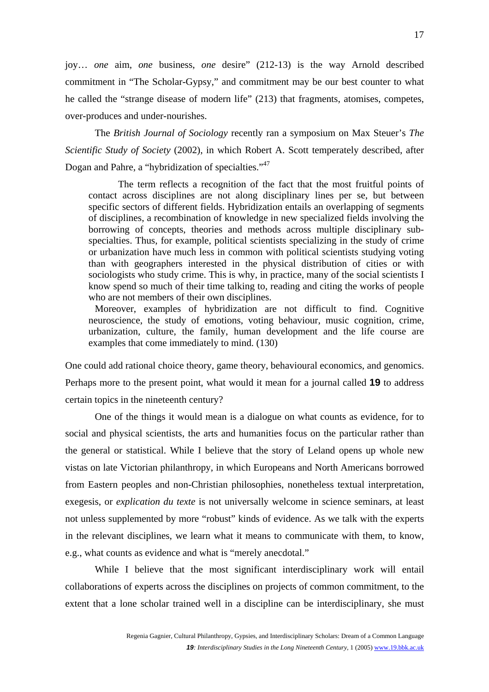joy… *one* aim, *one* business, *one* desire" (212-13) is the way Arnold described commitment in "The Scholar-Gypsy," and commitment may be our best counter to what he called the "strange disease of modern life" (213) that fragments, atomises, competes, over-produces and under-nourishes.

The *British Journal of Sociology* recently ran a symposium on Max Steuer's *The Scientific Study of Society* (2002), in which Robert A. Scott temperately described, after Dogan and Pahre, a "hybridization of specialties.["47](#page-23-19) 

The term reflects a recognition of the fact that the most fruitful points of contact across disciplines are not along disciplinary lines per se, but between specific sectors of different fields. Hybridization entails an overlapping of segments of disciplines, a recombination of knowledge in new specialized fields involving the borrowing of concepts, theories and methods across multiple disciplinary subspecialties. Thus, for example, political scientists specializing in the study of crime or urbanization have much less in common with political scientists studying voting than with geographers interested in the physical distribution of cities or with sociologists who study crime. This is why, in practice, many of the social scientists I know spend so much of their time talking to, reading and citing the works of people who are not members of their own disciplines.

Moreover, examples of hybridization are not difficult to find. Cognitive neuroscience, the study of emotions, voting behaviour, music cognition, crime, urbanization, culture, the family, human development and the life course are examples that come immediately to mind. (130)

One could add rational choice theory, game theory, behavioural economics, and genomics. Perhaps more to the present point, what would it mean for a journal called **19** to address certain topics in the nineteenth century?

One of the things it would mean is a dialogue on what counts as evidence, for to social and physical scientists, the arts and humanities focus on the particular rather than the general or statistical. While I believe that the story of Leland opens up whole new vistas on late Victorian philanthropy, in which Europeans and North Americans borrowed from Eastern peoples and non-Christian philosophies, nonetheless textual interpretation, exegesis, or *explication du texte* is not universally welcome in science seminars, at least not unless supplemented by more "robust" kinds of evidence. As we talk with the experts in the relevant disciplines, we learn what it means to communicate with them, to know, e.g., what counts as evidence and what is "merely anecdotal."

While I believe that the most significant interdisciplinary work will entail collaborations of experts across the disciplines on projects of common commitment, to the extent that a lone scholar trained well in a discipline can be interdisciplinary, she must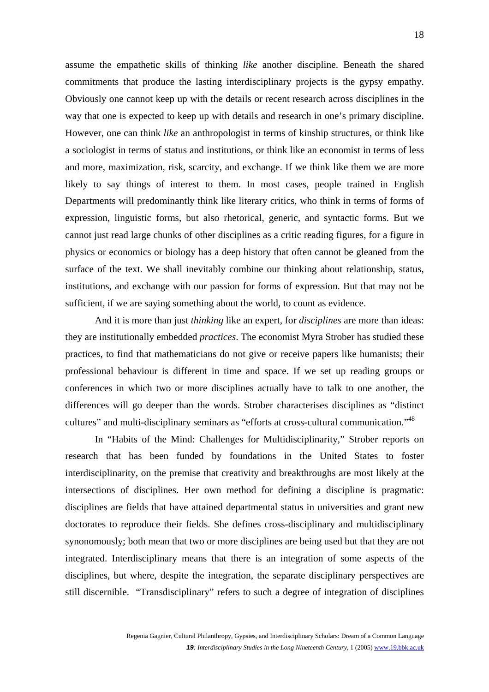assume the empathetic skills of thinking *like* another discipline. Beneath the shared commitments that produce the lasting interdisciplinary projects is the gypsy empathy. Obviously one cannot keep up with the details or recent research across disciplines in the way that one is expected to keep up with details and research in one's primary discipline. However, one can think *like* an anthropologist in terms of kinship structures, or think like a sociologist in terms of status and institutions, or think like an economist in terms of less and more, maximization, risk, scarcity, and exchange. If we think like them we are more likely to say things of interest to them. In most cases, people trained in English Departments will predominantly think like literary critics, who think in terms of forms of expression, linguistic forms, but also rhetorical, generic, and syntactic forms. But we cannot just read large chunks of other disciplines as a critic reading figures, for a figure in physics or economics or biology has a deep history that often cannot be gleaned from the surface of the text. We shall inevitably combine our thinking about relationship, status, institutions, and exchange with our passion for forms of expression. But that may not be sufficient, if we are saying something about the world, to count as evidence.

And it is more than just *thinking* like an expert, for *disciplines* are more than ideas: they are institutionally embedded *practices*. The economist Myra Strober has studied these practices, to find that mathematicians do not give or receive papers like humanists; their professional behaviour is different in time and space. If we set up reading groups or conferences in which two or more disciplines actually have to talk to one another, the differences will go deeper than the words. Strober characterises disciplines as "distinct cultures" and multi-disciplinary seminars as "efforts at cross-cultural communication."<sup>[48](#page-23-24)</sup>

In "Habits of the Mind: Challenges for Multidisciplinarity," Strober reports on research that has been funded by foundations in the United States to foster interdisciplinarity, on the premise that creativity and breakthroughs are most likely at the intersections of disciplines. Her own method for defining a discipline is pragmatic: disciplines are fields that have attained departmental status in universities and grant new doctorates to reproduce their fields. She defines cross-disciplinary and multidisciplinary synonomously; both mean that two or more disciplines are being used but that they are not integrated. Interdisciplinary means that there is an integration of some aspects of the disciplines, but where, despite the integration, the separate disciplinary perspectives are still discernible. "Transdisciplinary" refers to such a degree of integration of disciplines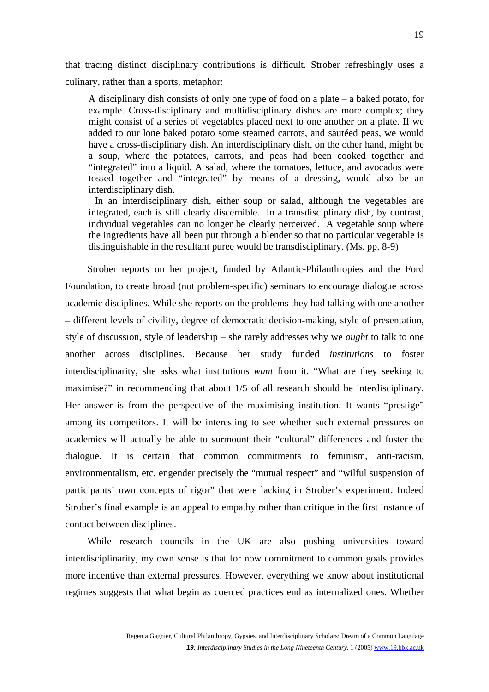that tracing distinct disciplinary contributions is difficult. Strober refreshingly uses a culinary, rather than a sports, metaphor:

A disciplinary dish consists of only one type of food on a plate – a baked potato, for example. Cross-disciplinary and multidisciplinary dishes are more complex; they might consist of a series of vegetables placed next to one another on a plate. If we added to our lone baked potato some steamed carrots, and sautéed peas, we would have a cross-disciplinary dish. An interdisciplinary dish, on the other hand, might be a soup, where the potatoes, carrots, and peas had been cooked together and "integrated" into a liquid. A salad, where the tomatoes, lettuce, and avocados were tossed together and "integrated" by means of a dressing, would also be an interdisciplinary dish.

In an interdisciplinary dish, either soup or salad, although the vegetables are integrated, each is still clearly discernible. In a transdisciplinary dish, by contrast, individual vegetables can no longer be clearly perceived. A vegetable soup where the ingredients have all been put through a blender so that no particular vegetable is distinguishable in the resultant puree would be transdisciplinary. (Ms. pp. 8-9)

Strober reports on her project, funded by Atlantic-Philanthropies and the Ford Foundation, to create broad (not problem-specific) seminars to encourage dialogue across academic disciplines. While she reports on the problems they had talking with one another – different levels of civility, degree of democratic decision-making, style of presentation, style of discussion, style of leadership – she rarely addresses why we *ought* to talk to one another across disciplines. Because her study funded *institutions* to foster interdisciplinarity, she asks what institutions *want* from it. "What are they seeking to maximise?" in recommending that about 1/5 of all research should be interdisciplinary. Her answer is from the perspective of the maximising institution. It wants "prestige" among its competitors. It will be interesting to see whether such external pressures on academics will actually be able to surmount their "cultural" differences and foster the dialogue. It is certain that common commitments to feminism, anti-racism, environmentalism, etc. engender precisely the "mutual respect" and "wilful suspension of participants' own concepts of rigor" that were lacking in Strober's experiment. Indeed Strober's final example is an appeal to empathy rather than critique in the first instance of contact between disciplines.

While research councils in the UK are also pushing universities toward interdisciplinarity, my own sense is that for now commitment to common goals provides more incentive than external pressures. However, everything we know about institutional regimes suggests that what begin as coerced practices end as internalized ones. Whether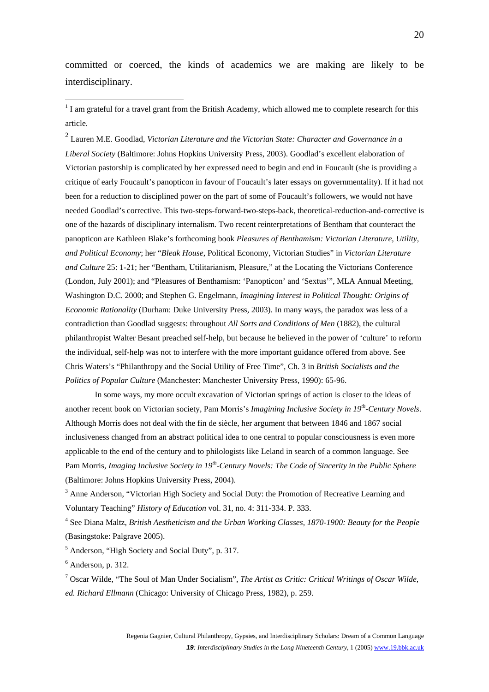committed or coerced, the kinds of academics we are making are likely to be interdisciplinary.

 $<sup>1</sup>$  I am grateful for a travel grant from the British Academy, which allowed me to complete research for this</sup> article.

2 Lauren M.E. Goodlad, *Victorian Literature and the Victorian State: Character and Governance in a Liberal Society* (Baltimore: Johns Hopkins University Press, 2003). Goodlad's excellent elaboration of Victorian pastorship is complicated by her expressed need to begin and end in Foucault (she is providing a critique of early Foucault's panopticon in favour of Foucault's later essays on governmentality). If it had not been for a reduction to disciplined power on the part of some of Foucault's followers, we would not have needed Goodlad's corrective. This two-steps-forward-two-steps-back, theoretical-reduction-and-corrective is one of the hazards of disciplinary internalism. Two recent reinterpretations of Bentham that counteract the panopticon are Kathleen Blake's forthcoming book *Pleasures of Benthamism: Victorian Literature, Utility, and Political Economy*; her "*Bleak House*, Political Economy, Victorian Studies" in *Victorian Literature and Culture* 25: 1-21; her "Bentham, Utilitarianism, Pleasure," at the Locating the Victorians Conference (London, July 2001); and "Pleasures of Benthamism: 'Panopticon' and 'Sextus'", MLA Annual Meeting, Washington D.C. 2000; and Stephen G. Engelmann, *Imagining Interest in Political Thought: Origins of Economic Rationality* (Durham: Duke University Press, 2003). In many ways, the paradox was less of a contradiction than Goodlad suggests: throughout *All Sorts and Conditions of Men* (1882), the cultural philanthropist Walter Besant preached self-help, but because he believed in the power of 'culture' to reform the individual, self-help was not to interfere with the more important guidance offered from above. See Chris Waters's "Philanthropy and the Social Utility of Free Time", Ch. 3 in *British Socialists and the Politics of Popular Culture* (Manchester: Manchester University Press, 1990): 65-96.

In some ways, my more occult excavation of Victorian springs of action is closer to the ideas of another recent book on Victorian society, Pam Morris's *Imagining Inclusive Society in 19th-Century Novels*. Although Morris does not deal with the fin de siècle, her argument that between 1846 and 1867 social inclusiveness changed from an abstract political idea to one central to popular consciousness is even more applicable to the end of the century and to philologists like Leland in search of a common language. See Pam Morris, *Imaging Inclusive Society in 19th-Century Novels: The Code of Sincerity in the Public Sphere*  (Baltimore: Johns Hopkins University Press, 2004).

<sup>3</sup> Anne Anderson, "Victorian High Society and Social Duty: the Promotion of Recreative Learning and Voluntary Teaching" *History of Education* vol. 31, no. 4: 311-334. P. 333.

4 See Diana Maltz, *British Aestheticism and the Urban Working Classes, 1870-1900: Beauty for the People*  (Basingstoke: Palgrave 2005).

<sup>5</sup> Anderson, "High Society and Social Duty", p. 317.

 $<sup>6</sup>$  Anderson, p. 312.</sup>

 $\overline{a}$ 

7 Oscar Wilde, "The Soul of Man Under Socialism", *The Artist as Critic: Critical Writings of Oscar Wilde, ed. Richard Ellmann* (Chicago: University of Chicago Press, 1982), p. 259.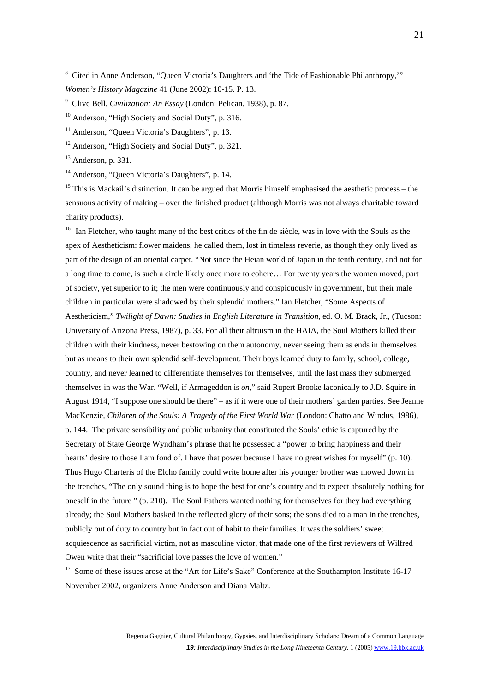8 <sup>8</sup> Cited in Anne Anderson, "Queen Victoria's Daughters and 'the Tide of Fashionable Philanthropy," *Women's History Magazine* 41 (June 2002): 10-15. P. 13.

- <sup>11</sup> Anderson, "Queen Victoria's Daughters", p. 13.
- <sup>12</sup> Anderson, "High Society and Social Duty", p. 321.

<sup>14</sup> Anderson, "Queen Victoria's Daughters", p. 14.

<sup>15</sup> This is Mackail's distinction. It can be argued that Morris himself emphasised the aesthetic process – the sensuous activity of making – over the finished product (although Morris was not always charitable toward charity products).

<sup>16</sup> Ian Fletcher, who taught many of the best critics of the fin de siècle, was in love with the Souls as the apex of Aestheticism: flower maidens, he called them, lost in timeless reverie, as though they only lived as part of the design of an oriental carpet. "Not since the Heian world of Japan in the tenth century, and not for a long time to come, is such a circle likely once more to cohere… For twenty years the women moved, part of society, yet superior to it; the men were continuously and conspicuously in government, but their male children in particular were shadowed by their splendid mothers." Ian Fletcher, "Some Aspects of Aestheticism," *Twilight of Dawn: Studies in English Literature in Transition*, ed. O. M. Brack, Jr., (Tucson: University of Arizona Press, 1987), p. 33. For all their altruism in the HAIA, the Soul Mothers killed their children with their kindness, never bestowing on them autonomy, never seeing them as ends in themselves but as means to their own splendid self-development. Their boys learned duty to family, school, college, country, and never learned to differentiate themselves for themselves, until the last mass they submerged themselves in was the War. "Well, if Armageddon is *on*," said Rupert Brooke laconically to J.D. Squire in August 1914, "I suppose one should be there" – as if it were one of their mothers' garden parties. See Jeanne MacKenzie, *Children of the Souls: A Tragedy of the First World War* (London: Chatto and Windus, 1986), p. 144. The private sensibility and public urbanity that constituted the Souls' ethic is captured by the Secretary of State George Wyndham's phrase that he possessed a "power to bring happiness and their hearts' desire to those I am fond of. I have that power because I have no great wishes for myself" (p. 10). Thus Hugo Charteris of the Elcho family could write home after his younger brother was mowed down in the trenches, "The only sound thing is to hope the best for one's country and to expect absolutely nothing for oneself in the future " (p. 210). The Soul Fathers wanted nothing for themselves for they had everything already; the Soul Mothers basked in the reflected glory of their sons; the sons died to a man in the trenches, publicly out of duty to country but in fact out of habit to their families. It was the soldiers' sweet acquiescence as sacrificial victim, not as masculine victor, that made one of the first reviewers of Wilfred Owen write that their "sacrificial love passes the love of women."

<sup>17</sup> Some of these issues arose at the "Art for Life's Sake" Conference at the Southampton Institute 16-17 November 2002, organizers Anne Anderson and Diana Maltz.

<sup>9</sup> Clive Bell, *Civilization: An Essay* (London: Pelican, 1938), p. 87.

<sup>&</sup>lt;sup>10</sup> Anderson, "High Society and Social Duty", p. 316.

 $13$  Anderson, p. 331.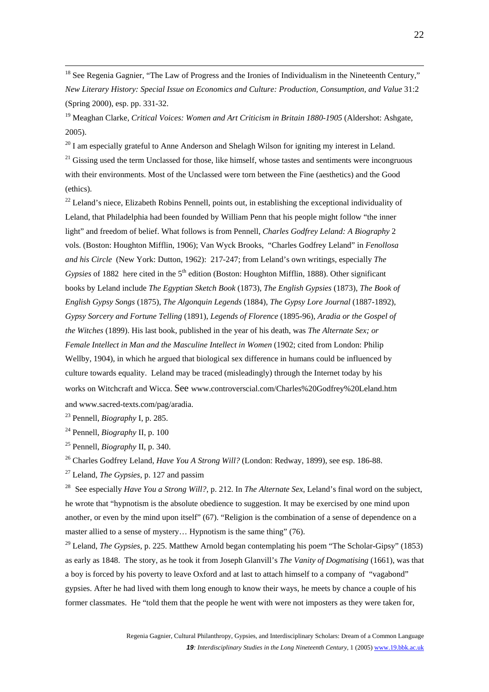<sup>18</sup> See Regenia Gagnier, "The Law of Progress and the Ironies of Individualism in the Nineteenth Century," *New Literary History: Special Issue on Economics and Culture: Production, Consumption, and Value* 31:2 (Spring 2000), esp. pp. 331-32.

<sup>19</sup> Meaghan Clarke, *Critical Voices: Women and Art Criticism in Britain 1880-1905* (Aldershot: Ashgate, 2005).

 $20$  I am especially grateful to Anne Anderson and Shelagh Wilson for igniting my interest in Leland.  $21$  Gissing used the term Unclassed for those, like himself, whose tastes and sentiments were incongruous with their environments. Most of the Unclassed were torn between the Fine (aesthetics) and the Good (ethics).

<sup>22</sup> Leland's niece, Elizabeth Robins Pennell, points out, in establishing the exceptional individuality of Leland, that Philadelphia had been founded by William Penn that his people might follow "the inner light" and freedom of belief. What follows is from Pennell, *Charles Godfrey Leland: A Biography* 2 vols. (Boston: Houghton Mifflin, 1906); Van Wyck Brooks, "Charles Godfrey Leland" in *Fenollosa and his Circle* (New York: Dutton, 1962): 217-247; from Leland's own writings, especially *The Gypsies* of 1882 here cited in the  $5<sup>th</sup>$  edition (Boston: Houghton Mifflin, 1888). Other significant books by Leland include *The Egyptian Sketch Book* (1873), *The English Gypsies* (1873), *The Book of English Gypsy Songs* (1875), *The Algonquin Legends* (1884), *The Gypsy Lore Journal* (1887-1892), *Gypsy Sorcery and Fortune Telling* (1891), *Legends of Florence* (1895-96), *Aradia or the Gospel of the Witches* (1899). His last book, published in the year of his death, was *The Alternate Sex; or Female Intellect in Man and the Masculine Intellect in Women* (1902; cited from London: Philip Wellby, 1904), in which he argued that biological sex difference in humans could be influenced by culture towards equality. Leland may be traced (misleadingly) through the Internet today by his works on Witchcraft and Wicca. See [www.controverscial.com/Charles%20Godfrey%20Leland.htm](http://www.controverscial.com/Charles%20Godfrey%20Leland.htm) and [www.sacred-texts.com/pag/aradia.](http://www.sacred-texts.com/pag/aradia/) 

23 Pennell, *Biography* I, p. 285.

24 Pennell, *Biography* II, p. 100

25 Pennell, *Biography* II, p. 340.

26 Charles Godfrey Leland, *Have You A Strong Will?* (London: Redway, 1899), see esp. 186-88.

27 Leland, *The Gypsies*, p. 127 and passim

<sup>28</sup> See especially *Have You a Strong Will?*, p. 212. In *The Alternate Sex*, Leland's final word on the subject, he wrote that "hypnotism is the absolute obedience to suggestion. It may be exercised by one mind upon another, or even by the mind upon itself" (67). "Religion is the combination of a sense of dependence on a master allied to a sense of mystery... Hypnotism is the same thing" (76).

29 Leland, *The Gypsies*, p. 225. Matthew Arnold began contemplating his poem "The Scholar-Gipsy" (1853) as early as 1848. The story, as he took it from Joseph Glanvill's *The Vanity of Dogmatising* (1661), was that a boy is forced by his poverty to leave Oxford and at last to attach himself to a company of "vagabond" gypsies. After he had lived with them long enough to know their ways, he meets by chance a couple of his former classmates. He "told them that the people he went with were not imposters as they were taken for,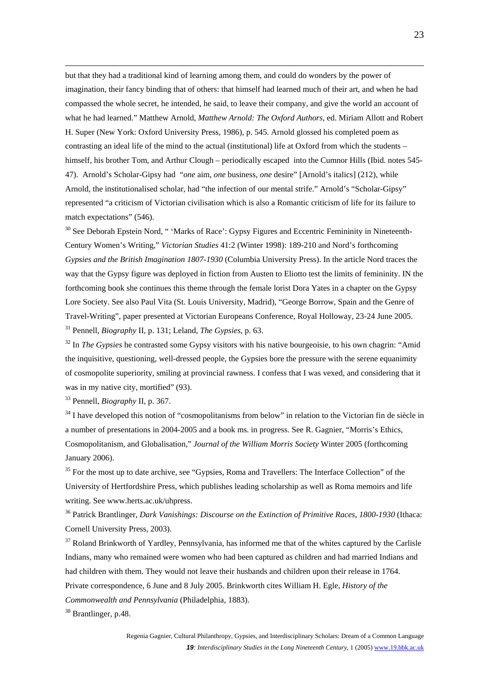but that they had a traditional kind of learning among them, and could do wonders by the power of imagination, their fancy binding that of others: that himself had learned much of their art, and when he had compassed the whole secret, he intended, he said, to leave their company, and give the world an account of what he had learned." Matthew Arnold, *Matthew Arnold: The Oxford Authors,* ed. Miriam Allott and Robert H. Super (New York: Oxford University Press, 1986), p. 545. Arnold glossed his completed poem as contrasting an ideal life of the mind to the actual (institutional) life at Oxford from which the students – himself, his brother Tom, and Arthur Clough – periodically escaped into the Cumnor Hills (Ibid. notes 545- 47). Arnold's Scholar-Gipsy had "*one* aim, *one* business, *one* desire" [Arnold's italics] (212), while Arnold, the institutionalised scholar, had "the infection of our mental strife." Arnold's "Scholar-Gipsy" represented "a criticism of Victorian civilisation which is also a Romantic criticism of life for its failure to match expectations" (546).

<sup>30</sup> See Deborah Epstein Nord, " 'Marks of Race': Gypsy Figures and Eccentric Femininity in Nineteenth-Century Women's Writing," *Victorian Studies* 41:2 (Winter 1998): 189-210 and Nord's forthcoming *Gypsies and the British Imagination 1807-1930* (Columbia University Press). In the article Nord traces the way that the Gypsy figure was deployed in fiction from Austen to Eliotto test the limits of femininity. IN the forthcoming book she continues this theme through the female lorist Dora Yates in a chapter on the Gypsy Lore Society. See also Paul Vita (St. Louis University, Madrid), "George Borrow, Spain and the Genre of Travel-Writing", paper presented at Victorian Europeans Conference, Royal Holloway, 23-24 June 2005. 31 Pennell, *Biography* II, p. 131; Leland, *The Gypsies*, p. 63.

<sup>32</sup> In *The Gypsies* he contrasted some Gypsy visitors with his native bourgeoisie, to his own chagrin: "Amid" the inquisitive, questioning, well-dressed people, the Gypsies bore the pressure with the serene equanimity of cosmopolite superiority, smiling at provincial rawness. I confess that I was vexed, and considering that it was in my native city, mortified" (93).

33 Pennell, *Biography* II, p. 367.

<sup>34</sup> I have developed this notion of "cosmopolitanisms from below" in relation to the Victorian fin de siècle in a number of presentations in 2004-2005 and a book ms. in progress. See R. Gagnier, "Morris's Ethics, Cosmopolitanism, and Globalisation," *Journal of the William Morris Society* Winter 2005 (forthcoming January 2006).

<sup>35</sup> For the most up to date archive, see "Gypsies, Roma and Travellers: The Interface Collection" of the University of Hertfordshire Press, which publishes leading scholarship as well as Roma memoirs and life writing. See [www.herts.ac.uk/uhpress.](http://www.herts.ac.uk/uhpress/) 

36 Patrick Brantlinger, *Dark Vanishings: Discourse on the Extinction of Primitive Races, 1800-1930* (Ithaca: Cornell University Press, 2003).

 $37$  Roland Brinkworth of Yardley, Pennsylvania, has informed me that of the whites captured by the Carlisle Indians, many who remained were women who had been captured as children and had married Indians and had children with them. They would not leave their husbands and children upon their release in 1764. Private correspondence, 6 June and 8 July 2005. Brinkworth cites William H. Egle, *History of the Commonwealth and Pennsylvania* (Philadelphia, 1883).

38 Brantlinger, p.48.